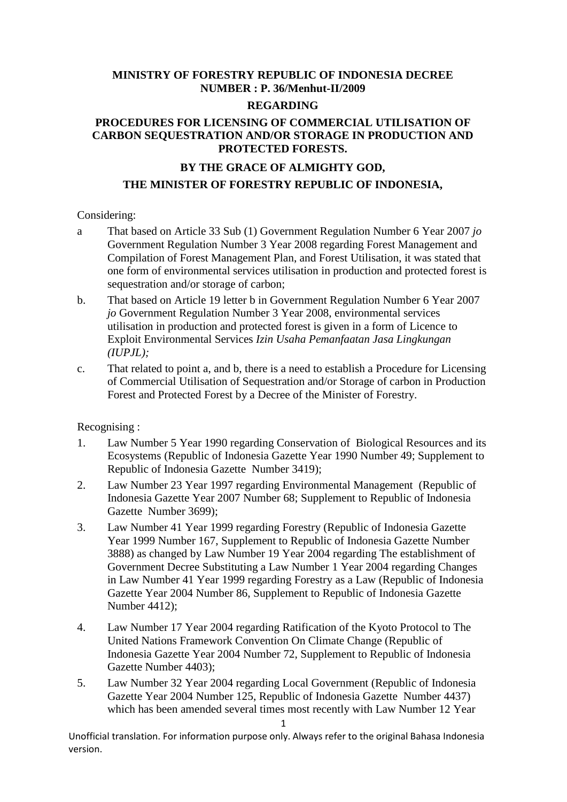# **MINISTRY OF FORESTRY REPUBLIC OF INDONESIA DECREE NUMBER : P. 36/Menhut-II/2009**

#### **REGARDING**

#### **PROCEDURES FOR LICENSING OF COMMERCIAL UTILISATION OF CARBON SEQUESTRATION AND/OR STORAGE IN PRODUCTION AND PROTECTED FORESTS.**

# **BY THE GRACE OF ALMIGHTY GOD, THE MINISTER OF FORESTRY REPUBLIC OF INDONESIA,**

#### Considering:

- a That based on Article 33 Sub (1) Government Regulation Number 6 Year 2007 *jo* Government Regulation Number 3 Year 2008 regarding Forest Management and Compilation of Forest Management Plan, and Forest Utilisation, it was stated that one form of environmental services utilisation in production and protected forest is sequestration and/or storage of carbon;
- b. That based on Article 19 letter b in Government Regulation Number 6 Year 2007 *jo* Government Regulation Number 3 Year 2008, environmental services utilisation in production and protected forest is given in a form of Licence to Exploit Environmental Services *Izin Usaha Pemanfaatan Jasa Lingkungan (IUPJL);*
- c. That related to point a, and b, there is a need to establish a Procedure for Licensing of Commercial Utilisation of Sequestration and/or Storage of carbon in Production Forest and Protected Forest by a Decree of the Minister of Forestry.

#### Recognising :

- 1. Law Number 5 Year 1990 regarding Conservation of Biological Resources and its Ecosystems (Republic of Indonesia Gazette Year 1990 Number 49; Supplement to Republic of Indonesia Gazette Number 3419);
- 2. Law Number 23 Year 1997 regarding Environmental Management (Republic of Indonesia Gazette Year 2007 Number 68; Supplement to Republic of Indonesia Gazette Number 3699);
- 3. Law Number 41 Year 1999 regarding Forestry (Republic of Indonesia Gazette Year 1999 Number 167, Supplement to Republic of Indonesia Gazette Number 3888) as changed by Law Number 19 Year 2004 regarding The establishment of Government Decree Substituting a Law Number 1 Year 2004 regarding Changes in Law Number 41 Year 1999 regarding Forestry as a Law (Republic of Indonesia Gazette Year 2004 Number 86, Supplement to Republic of Indonesia Gazette Number 4412);
- 4. Law Number 17 Year 2004 regarding Ratification of the Kyoto Protocol to The United Nations Framework Convention On Climate Change (Republic of Indonesia Gazette Year 2004 Number 72, Supplement to Republic of Indonesia Gazette Number 4403);
- 5. Law Number 32 Year 2004 regarding Local Government (Republic of Indonesia Gazette Year 2004 Number 125, Republic of Indonesia Gazette Number 4437) which has been amended several times most recently with Law Number 12 Year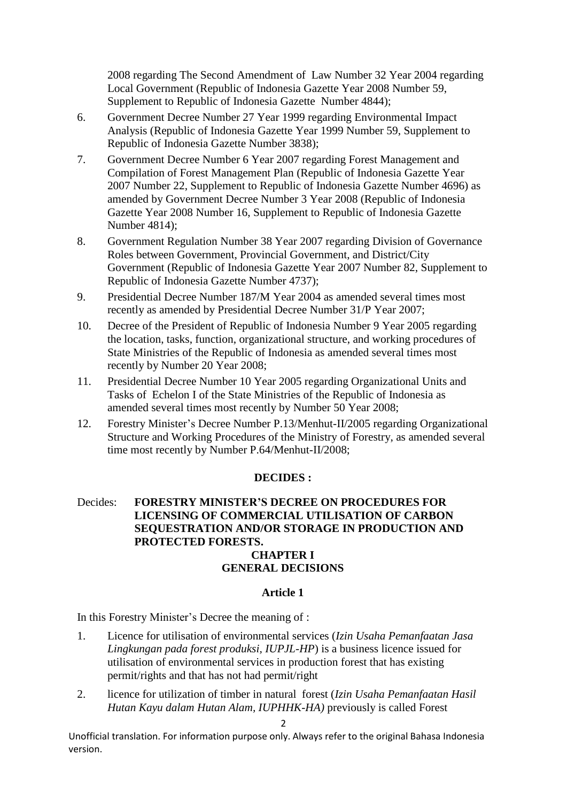2008 regarding The Second Amendment of Law Number 32 Year 2004 regarding Local Government (Republic of Indonesia Gazette Year 2008 Number 59, Supplement to Republic of Indonesia Gazette Number 4844);

- 6. Government Decree Number 27 Year 1999 regarding Environmental Impact Analysis (Republic of Indonesia Gazette Year 1999 Number 59, Supplement to Republic of Indonesia Gazette Number 3838);
- 7. Government Decree Number 6 Year 2007 regarding Forest Management and Compilation of Forest Management Plan (Republic of Indonesia Gazette Year 2007 Number 22, Supplement to Republic of Indonesia Gazette Number 4696) as amended by Government Decree Number 3 Year 2008 (Republic of Indonesia Gazette Year 2008 Number 16, Supplement to Republic of Indonesia Gazette Number 4814);
- 8. Government Regulation Number 38 Year 2007 regarding Division of Governance Roles between Government, Provincial Government, and District/City Government (Republic of Indonesia Gazette Year 2007 Number 82, Supplement to Republic of Indonesia Gazette Number 4737);
- 9. Presidential Decree Number 187/M Year 2004 as amended several times most recently as amended by Presidential Decree Number 31/P Year 2007;
- 10. Decree of the President of Republic of Indonesia Number 9 Year 2005 regarding the location, tasks, function, organizational structure, and working procedures of State Ministries of the Republic of Indonesia as amended several times most recently by Number 20 Year 2008;
- 11. Presidential Decree Number 10 Year 2005 regarding Organizational Units and Tasks of Echelon I of the State Ministries of the Republic of Indonesia as amended several times most recently by Number 50 Year 2008;
- 12. Forestry Minister's Decree Number P.13/Menhut-II/2005 regarding Organizational Structure and Working Procedures of the Ministry of Forestry, as amended several time most recently by Number P.64/Menhut-II/2008;

#### **DECIDES :**

# Decides: **FORESTRY MINISTER'S DECREE ON PROCEDURES FOR LICENSING OF COMMERCIAL UTILISATION OF CARBON SEQUESTRATION AND/OR STORAGE IN PRODUCTION AND PROTECTED FORESTS. CHAPTER I**

# **GENERAL DECISIONS**

#### **Article 1**

In this Forestry Minister's Decree the meaning of :

- 1. Licence for utilisation of environmental services (*Izin Usaha Pemanfaatan Jasa Lingkungan pada forest produksi, IUPJL-HP*) is a business licence issued for utilisation of environmental services in production forest that has existing permit/rights and that has not had permit/right
- 2. licence for utilization of timber in natural forest (*Izin Usaha Pemanfaatan Hasil Hutan Kayu dalam Hutan Alam, IUPHHK-HA)* previously is called Forest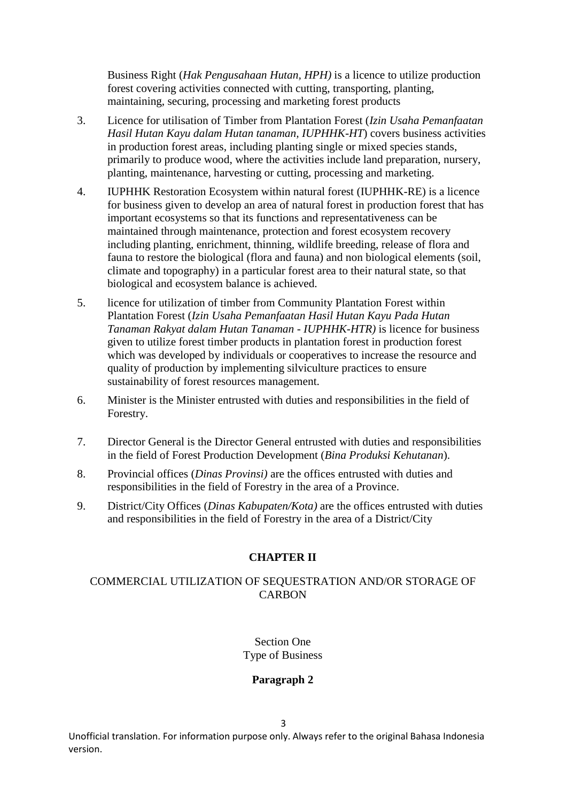Business Right (*Hak Pengusahaan Hutan, HPH)* is a licence to utilize production forest covering activities connected with cutting, transporting, planting, maintaining, securing, processing and marketing forest products

- 3. Licence for utilisation of Timber from Plantation Forest (*Izin Usaha Pemanfaatan Hasil Hutan Kayu dalam Hutan tanaman, IUPHHK-HT*) covers business activities in production forest areas, including planting single or mixed species stands, primarily to produce wood, where the activities include land preparation, nursery, planting, maintenance, harvesting or cutting, processing and marketing.
- 4. IUPHHK Restoration Ecosystem within natural forest (IUPHHK-RE) is a licence for business given to develop an area of natural forest in production forest that has important ecosystems so that its functions and representativeness can be maintained through maintenance, protection and forest ecosystem recovery including planting, enrichment, thinning, wildlife breeding, release of flora and fauna to restore the biological (flora and fauna) and non biological elements (soil, climate and topography) in a particular forest area to their natural state, so that biological and ecosystem balance is achieved.
- 5. licence for utilization of timber from Community Plantation Forest within Plantation Forest (*Izin Usaha Pemanfaatan Hasil Hutan Kayu Pada Hutan Tanaman Rakyat dalam Hutan Tanaman - IUPHHK-HTR)* is licence for business given to utilize forest timber products in plantation forest in production forest which was developed by individuals or cooperatives to increase the resource and quality of production by implementing silviculture practices to ensure sustainability of forest resources management.
- 6. Minister is the Minister entrusted with duties and responsibilities in the field of Forestry.
- 7. Director General is the Director General entrusted with duties and responsibilities in the field of Forest Production Development (*Bina Produksi Kehutanan*).
- 8. Provincial offices (*Dinas Provinsi)* are the offices entrusted with duties and responsibilities in the field of Forestry in the area of a Province.
- 9. District/City Offices (*Dinas Kabupaten/Kota)* are the offices entrusted with duties and responsibilities in the field of Forestry in the area of a District/City

# **CHAPTER II**

# COMMERCIAL UTILIZATION OF SEQUESTRATION AND/OR STORAGE OF **CARBON**

Section One Type of Business

# **Paragraph 2**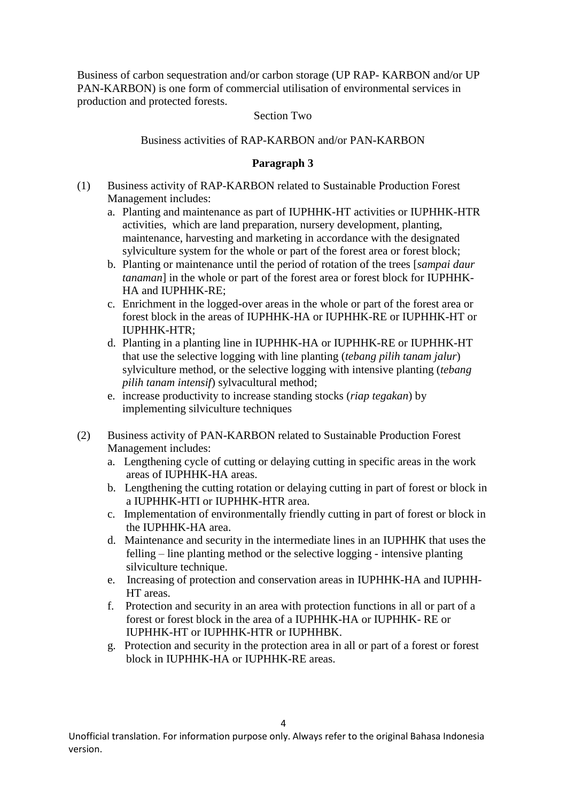Business of carbon sequestration and/or carbon storage (UP RAP- KARBON and/or UP PAN-KARBON) is one form of commercial utilisation of environmental services in production and protected forests.

#### Section Two

Business activities of RAP-KARBON and/or PAN-KARBON

## **Paragraph 3**

- (1) Business activity of RAP-KARBON related to Sustainable Production Forest Management includes:
	- a. Planting and maintenance as part of IUPHHK-HT activities or IUPHHK-HTR activities, which are land preparation, nursery development, planting, maintenance, harvesting and marketing in accordance with the designated sylviculture system for the whole or part of the forest area or forest block;
	- b. Planting or maintenance until the period of rotation of the trees [*sampai daur tanaman*] in the whole or part of the forest area or forest block for IUPHHK-HA and IUPHHK-RE;
	- c. Enrichment in the logged-over areas in the whole or part of the forest area or forest block in the areas of IUPHHK-HA or IUPHHK-RE or IUPHHK-HT or  $II$  IPHHK-HTR $\cdot$
	- d. Planting in a planting line in IUPHHK-HA or IUPHHK-RE or IUPHHK-HT that use the selective logging with line planting (*tebang pilih tanam jalur*) sylviculture method, or the selective logging with intensive planting (*tebang pilih tanam intensif*) sylvacultural method;
	- e. increase productivity to increase standing stocks (*riap tegakan*) by implementing silviculture techniques
- (2) Business activity of PAN-KARBON related to Sustainable Production Forest Management includes:
	- a. Lengthening cycle of cutting or delaying cutting in specific areas in the work areas of IUPHHK-HA areas.
	- b. Lengthening the cutting rotation or delaying cutting in part of forest or block in a IUPHHK-HTI or IUPHHK-HTR area.
	- c. Implementation of environmentally friendly cutting in part of forest or block in the IUPHHK-HA area.
	- d. Maintenance and security in the intermediate lines in an IUPHHK that uses the felling – line planting method or the selective logging - intensive planting silviculture technique.
	- e. Increasing of protection and conservation areas in IUPHHK-HA and IUPHH-HT areas.
	- f. Protection and security in an area with protection functions in all or part of a forest or forest block in the area of a IUPHHK-HA or IUPHHK- RE or IUPHHK-HT or IUPHHK-HTR or IUPHHBK.
	- g. Protection and security in the protection area in all or part of a forest or forest block in IUPHHK-HA or IUPHHK-RE areas.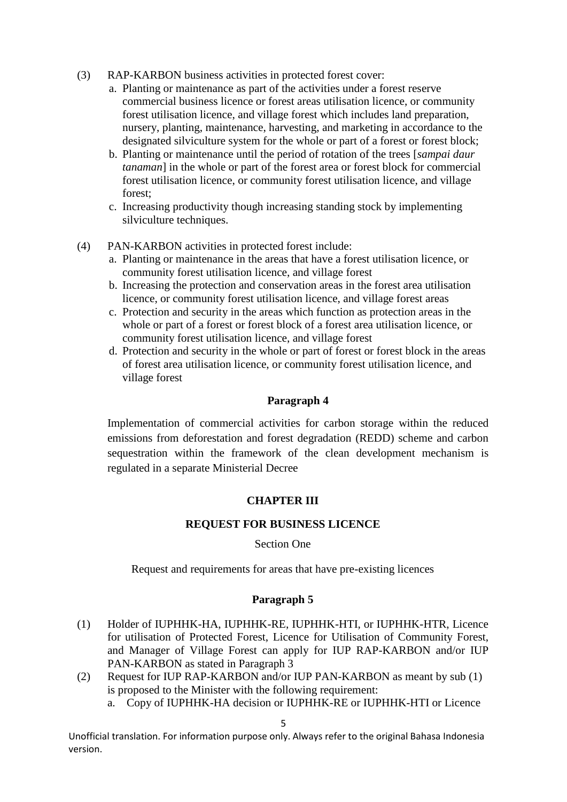- (3) RAP-KARBON business activities in protected forest cover:
	- a. Planting or maintenance as part of the activities under a forest reserve commercial business licence or forest areas utilisation licence, or community forest utilisation licence, and village forest which includes land preparation, nursery, planting, maintenance, harvesting, and marketing in accordance to the designated silviculture system for the whole or part of a forest or forest block;
	- b. Planting or maintenance until the period of rotation of the trees [*sampai daur tanaman*] in the whole or part of the forest area or forest block for commercial forest utilisation licence, or community forest utilisation licence, and village forest;
	- c. Increasing productivity though increasing standing stock by implementing silviculture techniques.
- (4) PAN-KARBON activities in protected forest include:
	- a. Planting or maintenance in the areas that have a forest utilisation licence, or community forest utilisation licence, and village forest
	- b. Increasing the protection and conservation areas in the forest area utilisation licence, or community forest utilisation licence, and village forest areas
	- c. Protection and security in the areas which function as protection areas in the whole or part of a forest or forest block of a forest area utilisation licence, or community forest utilisation licence, and village forest
	- d. Protection and security in the whole or part of forest or forest block in the areas of forest area utilisation licence, or community forest utilisation licence, and village forest

#### **Paragraph 4**

Implementation of commercial activities for carbon storage within the reduced emissions from deforestation and forest degradation (REDD) scheme and carbon sequestration within the framework of the clean development mechanism is regulated in a separate Ministerial Decree

#### **CHAPTER III**

#### **REQUEST FOR BUSINESS LICENCE**

#### Section One

Request and requirements for areas that have pre-existing licences

#### **Paragraph 5**

- (1) Holder of IUPHHK-HA, IUPHHK-RE, IUPHHK-HTI, or IUPHHK-HTR, Licence for utilisation of Protected Forest, Licence for Utilisation of Community Forest, and Manager of Village Forest can apply for IUP RAP-KARBON and/or IUP PAN-KARBON as stated in Paragraph 3
- (2) Request for IUP RAP-KARBON and/or IUP PAN-KARBON as meant by sub (1) is proposed to the Minister with the following requirement:
	- a. Copy of IUPHHK-HA decision or IUPHHK-RE or IUPHHK-HTI or Licence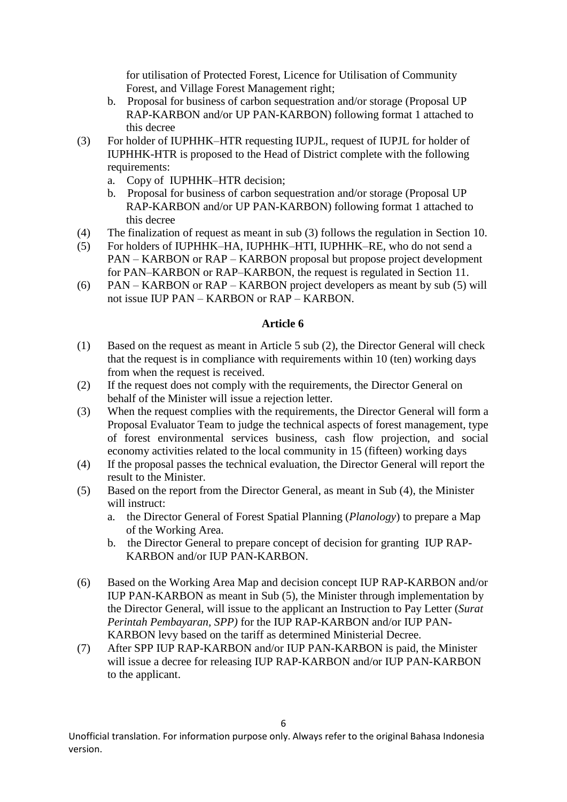for utilisation of Protected Forest, Licence for Utilisation of Community Forest, and Village Forest Management right;

- b. Proposal for business of carbon sequestration and/or storage (Proposal UP RAP-KARBON and/or UP PAN-KARBON) following format 1 attached to this decree
- (3) For holder of IUPHHK–HTR requesting IUPJL, request of IUPJL for holder of IUPHHK-HTR is proposed to the Head of District complete with the following requirements:
	- a. Copy of IUPHHK–HTR decision;
	- b. Proposal for business of carbon sequestration and/or storage (Proposal UP RAP-KARBON and/or UP PAN-KARBON) following format 1 attached to this decree
- (4) The finalization of request as meant in sub (3) follows the regulation in Section 10.
- (5) For holders of IUPHHK–HA, IUPHHK–HTI, IUPHHK–RE, who do not send a PAN – KARBON or RAP – KARBON proposal but propose project development for PAN–KARBON or RAP–KARBON, the request is regulated in Section 11.
- (6) PAN KARBON or RAP KARBON project developers as meant by sub (5) will not issue IUP PAN – KARBON or RAP – KARBON.

# **Article 6**

- (1) Based on the request as meant in Article 5 sub (2), the Director General will check that the request is in compliance with requirements within 10 (ten) working days from when the request is received.
- (2) If the request does not comply with the requirements, the Director General on behalf of the Minister will issue a rejection letter.
- (3) When the request complies with the requirements, the Director General will form a Proposal Evaluator Team to judge the technical aspects of forest management, type of forest environmental services business, cash flow projection, and social economy activities related to the local community in 15 (fifteen) working days
- (4) If the proposal passes the technical evaluation, the Director General will report the result to the Minister.
- (5) Based on the report from the Director General, as meant in Sub (4), the Minister will instruct:
	- a. the Director General of Forest Spatial Planning (*Planology*) to prepare a Map of the Working Area.
	- b. the Director General to prepare concept of decision for granting IUP RAP-KARBON and/or IUP PAN-KARBON.
- (6) Based on the Working Area Map and decision concept IUP RAP-KARBON and/or IUP PAN-KARBON as meant in Sub (5), the Minister through implementation by the Director General, will issue to the applicant an Instruction to Pay Letter (*Surat Perintah Pembayaran, SPP)* for the IUP RAP-KARBON and/or IUP PAN-KARBON levy based on the tariff as determined Ministerial Decree.
- (7) After SPP IUP RAP-KARBON and/or IUP PAN-KARBON is paid, the Minister will issue a decree for releasing IUP RAP-KARBON and/or IUP PAN-KARBON to the applicant.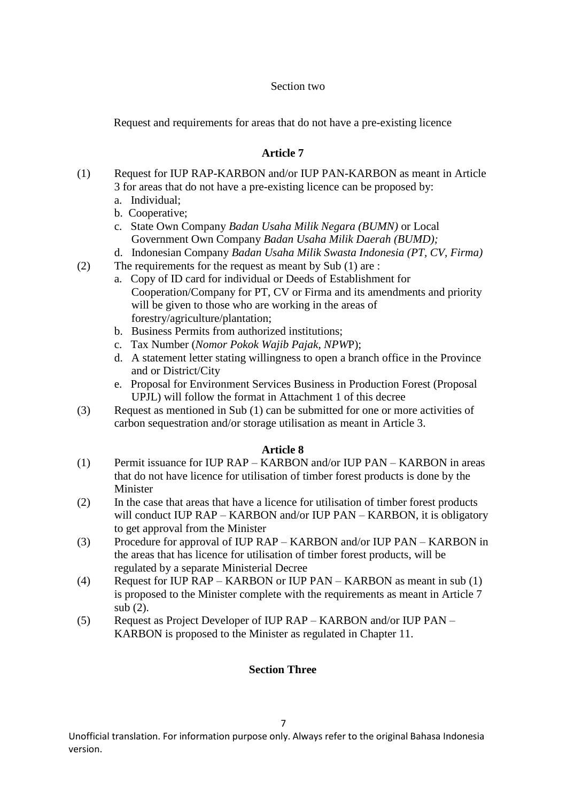#### Section two

Request and requirements for areas that do not have a pre-existing licence

# **Article 7**

- (1) Request for IUP RAP-KARBON and/or IUP PAN-KARBON as meant in Article 3 for areas that do not have a pre-existing licence can be proposed by:
	- a. Individual;
	- b. Cooperative;
	- c. State Own Company *Badan Usaha Milik Negara (BUMN)* or Local Government Own Company *Badan Usaha Milik Daerah (BUMD);*
	- d. Indonesian Company *Badan Usaha Milik Swasta Indonesia (PT, CV, Firma)*
- (2) The requirements for the request as meant by Sub (1) are :
	- a. Copy of ID card for individual or Deeds of Establishment for Cooperation/Company for PT, CV or Firma and its amendments and priority will be given to those who are working in the areas of forestry/agriculture/plantation;
	- b. Business Permits from authorized institutions;
	- c. Tax Number (*Nomor Pokok Wajib Pajak, NPW*P);
	- d. A statement letter stating willingness to open a branch office in the Province and or District/City
	- e. Proposal for Environment Services Business in Production Forest (Proposal UPJL) will follow the format in Attachment 1 of this decree
- (3) Request as mentioned in Sub (1) can be submitted for one or more activities of carbon sequestration and/or storage utilisation as meant in Article 3.

#### **Article 8**

- (1) Permit issuance for IUP RAP KARBON and/or IUP PAN KARBON in areas that do not have licence for utilisation of timber forest products is done by the Minister
- (2) In the case that areas that have a licence for utilisation of timber forest products will conduct IUP RAP – KARBON and/or IUP PAN – KARBON, it is obligatory to get approval from the Minister
- (3) Procedure for approval of IUP RAP KARBON and/or IUP PAN KARBON in the areas that has licence for utilisation of timber forest products, will be regulated by a separate Ministerial Decree
- (4) Request for IUP RAP KARBON or IUP PAN KARBON as meant in sub (1) is proposed to the Minister complete with the requirements as meant in Article 7 sub (2).
- (5) Request as Project Developer of IUP RAP KARBON and/or IUP PAN KARBON is proposed to the Minister as regulated in Chapter 11.

#### **Section Three**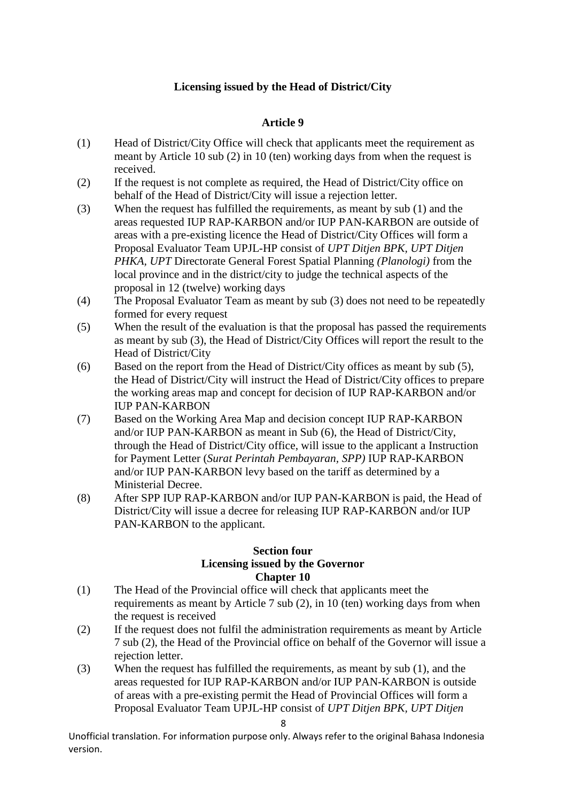# **Licensing issued by the Head of District/City**

## **Article 9**

- (1) Head of District/City Office will check that applicants meet the requirement as meant by Article 10 sub (2) in 10 (ten) working days from when the request is received.
- (2) If the request is not complete as required, the Head of District/City office on behalf of the Head of District/City will issue a rejection letter.
- (3) When the request has fulfilled the requirements, as meant by sub (1) and the areas requested IUP RAP-KARBON and/or IUP PAN-KARBON are outside of areas with a pre-existing licence the Head of District/City Offices will form a Proposal Evaluator Team UPJL-HP consist of *UPT Ditjen BPK, UPT Ditjen PHKA, UPT* Directorate General Forest Spatial Planning *(Planologi)* from the local province and in the district/city to judge the technical aspects of the proposal in 12 (twelve) working days
- (4) The Proposal Evaluator Team as meant by sub (3) does not need to be repeatedly formed for every request
- (5) When the result of the evaluation is that the proposal has passed the requirements as meant by sub (3), the Head of District/City Offices will report the result to the Head of District/City
- (6) Based on the report from the Head of District/City offices as meant by sub (5), the Head of District/City will instruct the Head of District/City offices to prepare the working areas map and concept for decision of IUP RAP-KARBON and/or IUP PAN-KARBON
- (7) Based on the Working Area Map and decision concept IUP RAP-KARBON and/or IUP PAN-KARBON as meant in Sub (6), the Head of District/City, through the Head of District/City office, will issue to the applicant a Instruction for Payment Letter (*Surat Perintah Pembayaran, SPP)* IUP RAP-KARBON and/or IUP PAN-KARBON levy based on the tariff as determined by a Ministerial Decree.
- (8) After SPP IUP RAP-KARBON and/or IUP PAN-KARBON is paid, the Head of District/City will issue a decree for releasing IUP RAP-KARBON and/or IUP PAN-KARBON to the applicant.

#### **Section four Licensing issued by the Governor Chapter 10**

- (1) The Head of the Provincial office will check that applicants meet the requirements as meant by Article 7 sub (2), in 10 (ten) working days from when the request is received
- (2) If the request does not fulfil the administration requirements as meant by Article 7 sub (2), the Head of the Provincial office on behalf of the Governor will issue a rejection letter.
- (3) When the request has fulfilled the requirements, as meant by sub (1), and the areas requested for IUP RAP-KARBON and/or IUP PAN-KARBON is outside of areas with a pre-existing permit the Head of Provincial Offices will form a Proposal Evaluator Team UPJL-HP consist of *UPT Ditjen BPK, UPT Ditjen*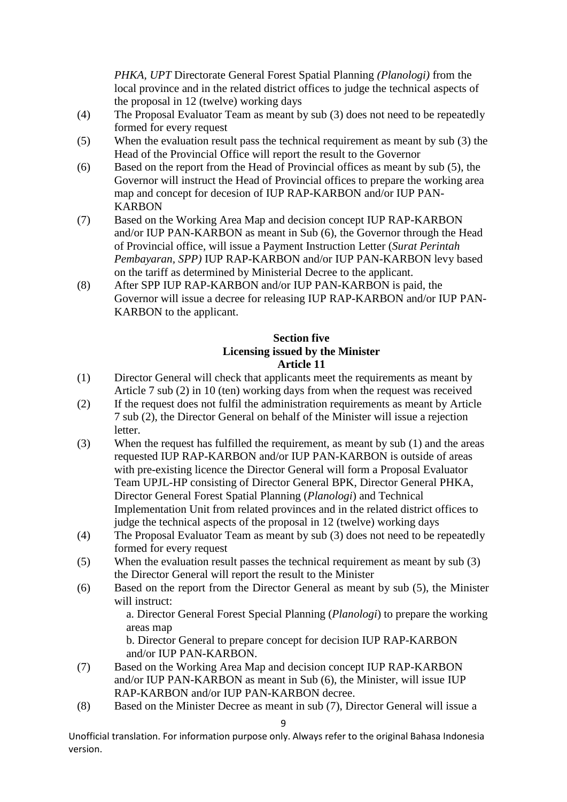*PHKA, UPT* Directorate General Forest Spatial Planning *(Planologi)* from the local province and in the related district offices to judge the technical aspects of the proposal in 12 (twelve) working days

- (4) The Proposal Evaluator Team as meant by sub (3) does not need to be repeatedly formed for every request
- (5) When the evaluation result pass the technical requirement as meant by sub (3) the Head of the Provincial Office will report the result to the Governor
- (6) Based on the report from the Head of Provincial offices as meant by sub (5), the Governor will instruct the Head of Provincial offices to prepare the working area map and concept for decesion of IUP RAP-KARBON and/or IUP PAN-**KARBON**
- (7) Based on the Working Area Map and decision concept IUP RAP-KARBON and/or IUP PAN-KARBON as meant in Sub (6), the Governor through the Head of Provincial office, will issue a Payment Instruction Letter (*Surat Perintah Pembayaran, SPP)* IUP RAP-KARBON and/or IUP PAN-KARBON levy based on the tariff as determined by Ministerial Decree to the applicant.
- (8) After SPP IUP RAP-KARBON and/or IUP PAN-KARBON is paid, the Governor will issue a decree for releasing IUP RAP-KARBON and/or IUP PAN-KARBON to the applicant.

#### **Section five Licensing issued by the Minister Article 11**

- (1) Director General will check that applicants meet the requirements as meant by Article 7 sub (2) in 10 (ten) working days from when the request was received
- (2) If the request does not fulfil the administration requirements as meant by Article 7 sub (2), the Director General on behalf of the Minister will issue a rejection letter.
- (3) When the request has fulfilled the requirement, as meant by sub (1) and the areas requested IUP RAP-KARBON and/or IUP PAN-KARBON is outside of areas with pre-existing licence the Director General will form a Proposal Evaluator Team UPJL-HP consisting of Director General BPK, Director General PHKA, Director General Forest Spatial Planning (*Planologi*) and Technical Implementation Unit from related provinces and in the related district offices to judge the technical aspects of the proposal in 12 (twelve) working days
- (4) The Proposal Evaluator Team as meant by sub (3) does not need to be repeatedly formed for every request
- (5) When the evaluation result passes the technical requirement as meant by sub (3) the Director General will report the result to the Minister
- (6) Based on the report from the Director General as meant by sub (5), the Minister will instruct:

a. Director General Forest Special Planning (*Planologi*) to prepare the working areas map

b. Director General to prepare concept for decision IUP RAP-KARBON and/or IUP PAN-KARBON.

- (7) Based on the Working Area Map and decision concept IUP RAP-KARBON and/or IUP PAN-KARBON as meant in Sub (6), the Minister, will issue IUP RAP-KARBON and/or IUP PAN-KARBON decree.
- (8) Based on the Minister Decree as meant in sub (7), Director General will issue a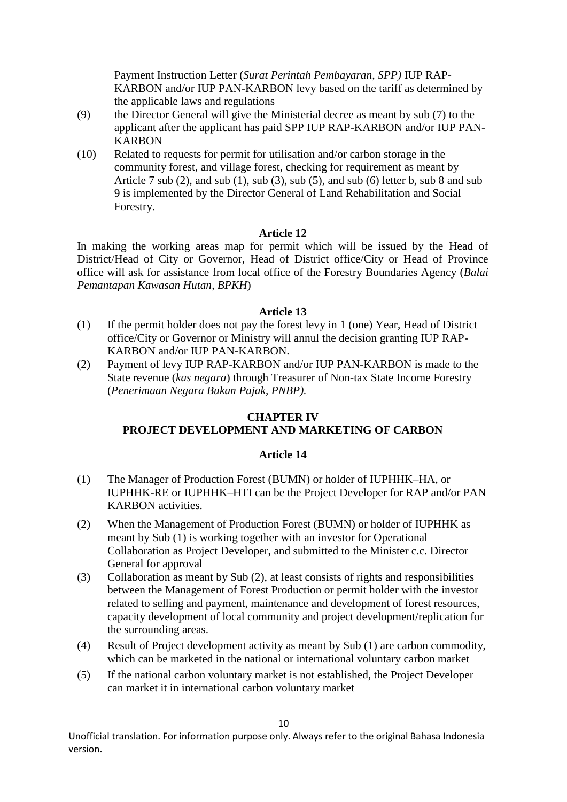Payment Instruction Letter (*Surat Perintah Pembayaran, SPP)* IUP RAP-KARBON and/or IUP PAN-KARBON levy based on the tariff as determined by the applicable laws and regulations

- (9) the Director General will give the Ministerial decree as meant by sub (7) to the applicant after the applicant has paid SPP IUP RAP-KARBON and/or IUP PAN-KARBON
- (10) Related to requests for permit for utilisation and/or carbon storage in the community forest, and village forest, checking for requirement as meant by Article 7 sub (2), and sub (1), sub (3), sub (5), and sub (6) letter b, sub 8 and sub 9 is implemented by the Director General of Land Rehabilitation and Social Forestry.

#### **Article 12**

In making the working areas map for permit which will be issued by the Head of District/Head of City or Governor, Head of District office/City or Head of Province office will ask for assistance from local office of the Forestry Boundaries Agency (*Balai Pemantapan Kawasan Hutan, BPKH*)

#### **Article 13**

- (1) If the permit holder does not pay the forest levy in 1 (one) Year, Head of District office/City or Governor or Ministry will annul the decision granting IUP RAP-KARBON and/or IUP PAN-KARBON.
- (2) Payment of levy IUP RAP-KARBON and/or IUP PAN-KARBON is made to the State revenue (*kas negara*) through Treasurer of Non-tax State Income Forestry (*Penerimaan Negara Bukan Pajak, PNBP).*

# **CHAPTER IV PROJECT DEVELOPMENT AND MARKETING OF CARBON**

#### **Article 14**

- (1) The Manager of Production Forest (BUMN) or holder of IUPHHK–HA, or IUPHHK-RE or IUPHHK–HTI can be the Project Developer for RAP and/or PAN KARBON activities.
- (2) When the Management of Production Forest (BUMN) or holder of IUPHHK as meant by Sub (1) is working together with an investor for Operational Collaboration as Project Developer, and submitted to the Minister c.c. Director General for approval
- (3) Collaboration as meant by Sub (2), at least consists of rights and responsibilities between the Management of Forest Production or permit holder with the investor related to selling and payment, maintenance and development of forest resources, capacity development of local community and project development/replication for the surrounding areas.
- (4) Result of Project development activity as meant by Sub (1) are carbon commodity, which can be marketed in the national or international voluntary carbon market
- (5) If the national carbon voluntary market is not established, the Project Developer can market it in international carbon voluntary market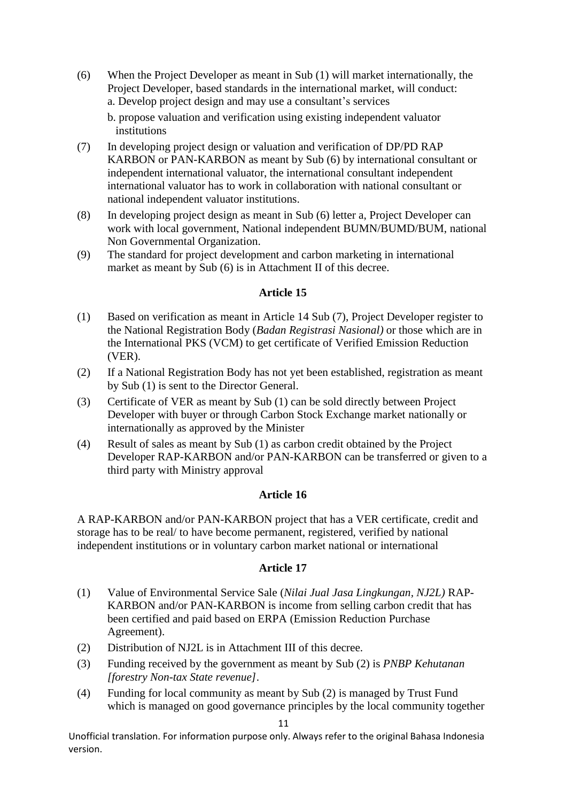(6) When the Project Developer as meant in Sub (1) will market internationally, the Project Developer, based standards in the international market, will conduct: a. Develop project design and may use a consultant's services

b. propose valuation and verification using existing independent valuator institutions

- (7) In developing project design or valuation and verification of DP/PD RAP KARBON or PAN-KARBON as meant by Sub (6) by international consultant or independent international valuator, the international consultant independent international valuator has to work in collaboration with national consultant or national independent valuator institutions.
- (8) In developing project design as meant in Sub (6) letter a, Project Developer can work with local government, National independent BUMN/BUMD/BUM, national Non Governmental Organization.
- (9) The standard for project development and carbon marketing in international market as meant by Sub (6) is in Attachment II of this decree.

#### **Article 15**

- (1) Based on verification as meant in Article 14 Sub (7), Project Developer register to the National Registration Body (*Badan Registrasi Nasional)* or those which are in the International PKS (VCM) to get certificate of Verified Emission Reduction (VER).
- (2) If a National Registration Body has not yet been established, registration as meant by Sub (1) is sent to the Director General.
- (3) Certificate of VER as meant by Sub (1) can be sold directly between Project Developer with buyer or through Carbon Stock Exchange market nationally or internationally as approved by the Minister
- (4) Result of sales as meant by Sub (1) as carbon credit obtained by the Project Developer RAP-KARBON and/or PAN-KARBON can be transferred or given to a third party with Ministry approval

#### **Article 16**

A RAP-KARBON and/or PAN-KARBON project that has a VER certificate, credit and storage has to be real/ to have become permanent, registered, verified by national independent institutions or in voluntary carbon market national or international

#### **Article 17**

- (1) Value of Environmental Service Sale (*Nilai Jual Jasa Lingkungan, NJ2L)* RAP-KARBON and/or PAN-KARBON is income from selling carbon credit that has been certified and paid based on ERPA (Emission Reduction Purchase Agreement).
- (2) Distribution of NJ2L is in Attachment III of this decree.
- (3) Funding received by the government as meant by Sub (2) is *PNBP Kehutanan [forestry Non-tax State revenue]*.
- (4) Funding for local community as meant by Sub (2) is managed by Trust Fund which is managed on good governance principles by the local community together

11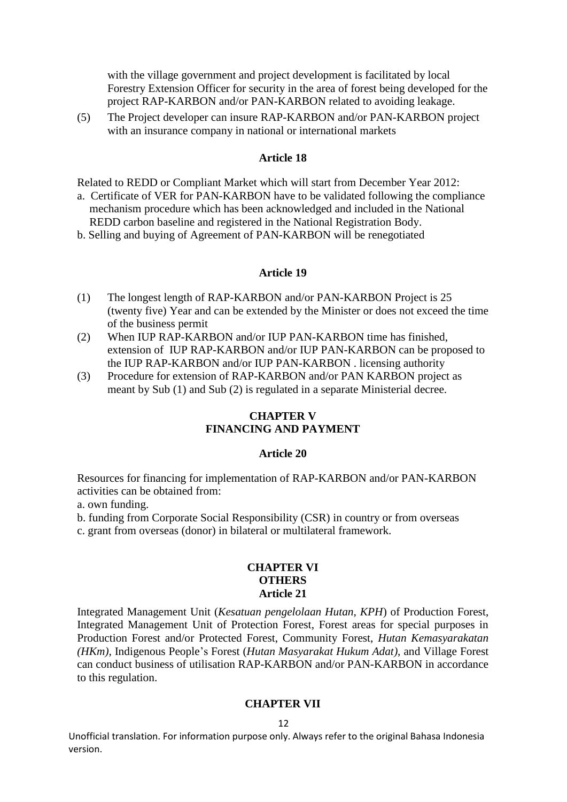with the village government and project development is facilitated by local Forestry Extension Officer for security in the area of forest being developed for the project RAP-KARBON and/or PAN-KARBON related to avoiding leakage.

(5) The Project developer can insure RAP-KARBON and/or PAN-KARBON project with an insurance company in national or international markets

#### **Article 18**

Related to REDD or Compliant Market which will start from December Year 2012:

- a. Certificate of VER for PAN-KARBON have to be validated following the compliance mechanism procedure which has been acknowledged and included in the National REDD carbon baseline and registered in the National Registration Body.
- b. Selling and buying of Agreement of PAN-KARBON will be renegotiated

#### **Article 19**

- (1) The longest length of RAP-KARBON and/or PAN-KARBON Project is 25 (twenty five) Year and can be extended by the Minister or does not exceed the time of the business permit
- (2) When IUP RAP-KARBON and/or IUP PAN-KARBON time has finished, extension of IUP RAP-KARBON and/or IUP PAN-KARBON can be proposed to the IUP RAP-KARBON and/or IUP PAN-KARBON . licensing authority
- (3) Procedure for extension of RAP-KARBON and/or PAN KARBON project as meant by Sub (1) and Sub (2) is regulated in a separate Ministerial decree.

#### **CHAPTER V FINANCING AND PAYMENT**

#### **Article 20**

Resources for financing for implementation of RAP-KARBON and/or PAN-KARBON activities can be obtained from:

- a. own funding.
- b. funding from Corporate Social Responsibility (CSR) in country or from overseas
- c. grant from overseas (donor) in bilateral or multilateral framework.

#### **CHAPTER VI OTHERS Article 21**

Integrated Management Unit (*Kesatuan pengelolaan Hutan, KPH*) of Production Forest, Integrated Management Unit of Protection Forest, Forest areas for special purposes in Production Forest and/or Protected Forest, Community Forest, *Hutan Kemasyarakatan (HKm),* Indigenous People's Forest (*Hutan Masyarakat Hukum Adat)*, and Village Forest can conduct business of utilisation RAP-KARBON and/or PAN-KARBON in accordance to this regulation.

#### **CHAPTER VII**

#### 12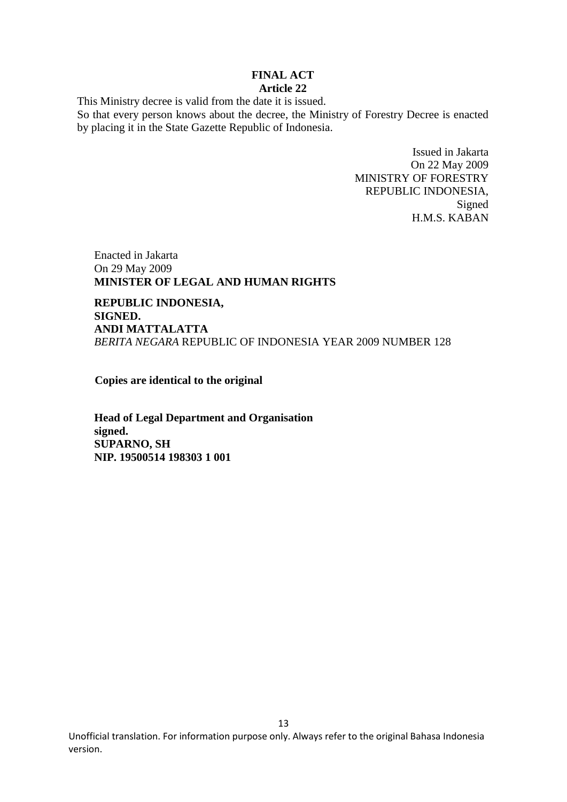#### **FINAL ACT Article 22**

This Ministry decree is valid from the date it is issued.

So that every person knows about the decree, the Ministry of Forestry Decree is enacted by placing it in the State Gazette Republic of Indonesia.

> Issued in Jakarta On 22 May 2009 MINISTRY OF FORESTRY REPUBLIC INDONESIA, Signed H.M.S. KABAN

Enacted in Jakarta On 29 May 2009 **MINISTER OF LEGAL AND HUMAN RIGHTS**

**REPUBLIC INDONESIA, SIGNED. ANDI MATTALATTA**  *BERITA NEGARA* REPUBLIC OF INDONESIA YEAR 2009 NUMBER 128

**Copies are identical to the original**

**Head of Legal Department and Organisation signed. SUPARNO, SH NIP. 19500514 198303 1 001**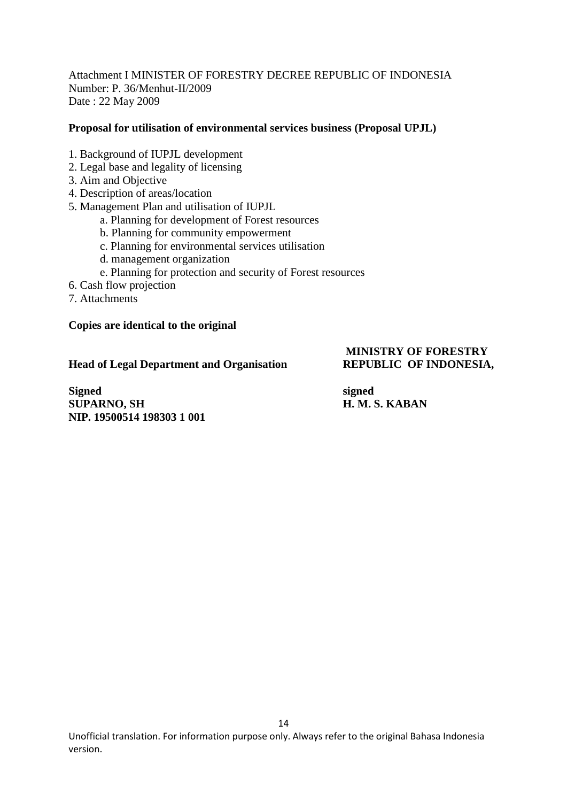Attachment I MINISTER OF FORESTRY DECREE REPUBLIC OF INDONESIA Number: P. 36/Menhut-II/2009 Date : 22 May 2009

#### **Proposal for utilisation of environmental services business (Proposal UPJL)**

- 1. Background of IUPJL development
- 2. Legal base and legality of licensing
- 3. Aim and Objective
- 4. Description of areas/location
- 5. Management Plan and utilisation of IUPJL
	- a. Planning for development of Forest resources
	- b. Planning for community empowerment
	- c. Planning for environmental services utilisation
	- d. management organization
	- e. Planning for protection and security of Forest resources
- 6. Cash flow projection
- 7. Attachments

#### **Copies are identical to the original**

#### **Head of Legal Department and Organisation REPUBLIC OF INDONESIA,**

# **MINISTRY OF FORESTRY**

**Signed** signed **SUPARNO, SH H. M. S. KABAN NIP. 19500514 198303 1 001**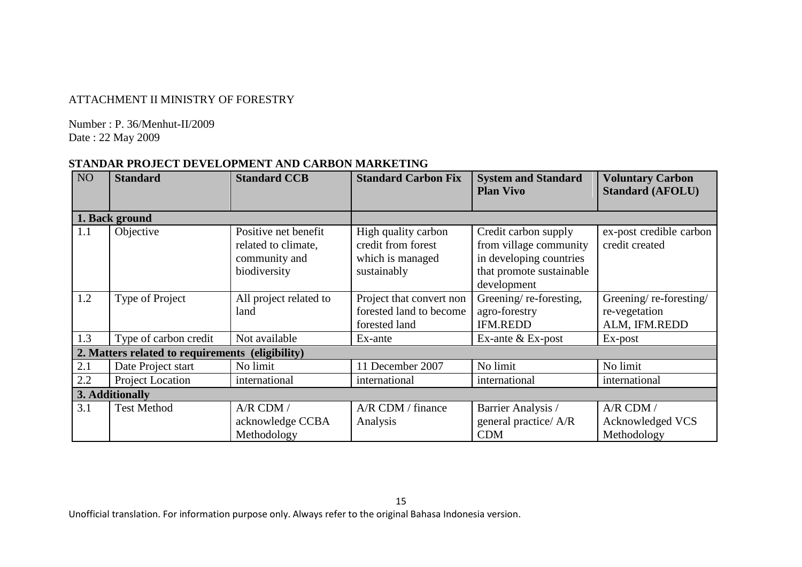## ATTACHMENT II MINISTRY OF FORESTRY

Number : P. 36/Menhut-II/2009 Date : 22 May 2009

# **STANDAR PROJECT DEVELOPMENT AND CARBON MARKETING**

| NO <sub>1</sub> | <b>Standard</b>                                  | <b>Standard CCB</b>    | <b>Standard Carbon Fix</b> | <b>System and Standard</b><br><b>Plan Vivo</b> | <b>Voluntary Carbon</b><br><b>Standard (AFOLU)</b> |
|-----------------|--------------------------------------------------|------------------------|----------------------------|------------------------------------------------|----------------------------------------------------|
|                 |                                                  |                        |                            |                                                |                                                    |
|                 | 1. Back ground                                   |                        |                            |                                                |                                                    |
| 1.1             | Objective                                        | Positive net benefit   | High quality carbon        | Credit carbon supply                           | ex-post credible carbon                            |
|                 |                                                  | related to climate,    | credit from forest         | from village community                         | credit created                                     |
|                 |                                                  | community and          | which is managed           | in developing countries                        |                                                    |
|                 |                                                  | biodiversity           | sustainably                | that promote sustainable                       |                                                    |
|                 |                                                  |                        |                            | development                                    |                                                    |
| 1.2             | Type of Project                                  | All project related to | Project that convert non   | Greening/re-foresting,                         | Greening/re-foresting/                             |
|                 |                                                  | land                   | forested land to become    | agro-forestry                                  | re-vegetation                                      |
|                 |                                                  |                        | forested land              | <b>IFM.REDD</b>                                | ALM, IFM.REDD                                      |
| 1.3             | Type of carbon credit                            | Not available          | Ex-ante                    | Ex-ante & Ex-post                              | Ex-post                                            |
|                 | 2. Matters related to requirements (eligibility) |                        |                            |                                                |                                                    |
| 2.1             | Date Project start                               | No limit               | 11 December 2007           | No limit                                       | No limit                                           |
| 2.2             | Project Location                                 | international          | international              | international                                  | international                                      |
| 3. Additionally |                                                  |                        |                            |                                                |                                                    |
| 3.1             | <b>Test Method</b>                               | A/R CDM /              | A/R CDM / finance          | Barrier Analysis /                             | A/R CDM /                                          |
|                 |                                                  | acknowledge CCBA       | Analysis                   | general practice/ A/R                          | Acknowledged VCS                                   |
|                 |                                                  | Methodology            |                            | <b>CDM</b>                                     | Methodology                                        |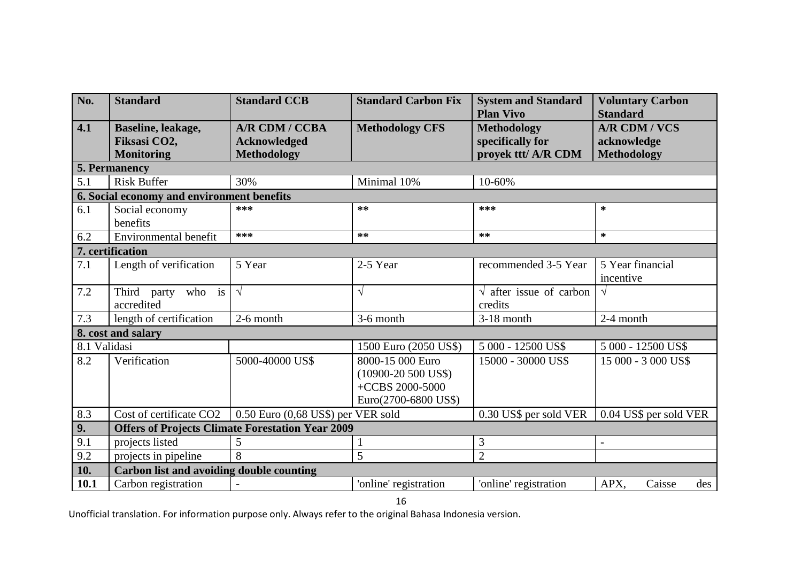| No.                | <b>Standard</b>                                         | <b>Standard CCB</b>                                         | <b>Standard Carbon Fix</b>                                                            | <b>System and Standard</b><br><b>Plan Vivo</b>                | <b>Voluntary Carbon</b><br><b>Standard</b>                |  |  |  |  |
|--------------------|---------------------------------------------------------|-------------------------------------------------------------|---------------------------------------------------------------------------------------|---------------------------------------------------------------|-----------------------------------------------------------|--|--|--|--|
| 4.1                | Baseline, leakage,<br>Fiksasi CO2,<br><b>Monitoring</b> | A/R CDM / CCBA<br><b>Acknowledged</b><br><b>Methodology</b> | <b>Methodology CFS</b>                                                                | <b>Methodology</b><br>specifically for<br>proyek ttt/ A/R CDM | <b>A/R CDM / VCS</b><br>acknowledge<br><b>Methodology</b> |  |  |  |  |
|                    | 5. Permanency                                           |                                                             |                                                                                       |                                                               |                                                           |  |  |  |  |
| 5.1                | <b>Risk Buffer</b>                                      | 30%                                                         | Minimal 10%                                                                           | 10-60%                                                        |                                                           |  |  |  |  |
|                    | 6. Social economy and environment benefits              |                                                             |                                                                                       |                                                               |                                                           |  |  |  |  |
| 6.1                | Social economy<br>benefits                              | $***$                                                       | $**$                                                                                  | ***                                                           | $\ast$                                                    |  |  |  |  |
| 6.2                | Environmental benefit                                   | $***$                                                       | $**$                                                                                  | $**$                                                          | $\ast$                                                    |  |  |  |  |
|                    | 7. certification                                        |                                                             |                                                                                       |                                                               |                                                           |  |  |  |  |
| 7.1                | Length of verification                                  | 5 Year                                                      | 2-5 Year                                                                              | recommended 3-5 Year                                          | 5 Year financial<br>incentive                             |  |  |  |  |
| 7.2                | Third party who is<br>accredited                        | $\sqrt{ }$                                                  | $\sqrt{}$                                                                             | $\sqrt{\ }$ after issue of carbon<br>credits                  | $\sqrt{ }$                                                |  |  |  |  |
| 7.3                | length of certification                                 | 2-6 month                                                   | 3-6 month                                                                             | $3-18$ month                                                  | 2-4 month                                                 |  |  |  |  |
| 8. cost and salary |                                                         |                                                             |                                                                                       |                                                               |                                                           |  |  |  |  |
| 8.1 Validasi       |                                                         |                                                             | 1500 Euro (2050 US\$)                                                                 | 5 000 - 12500 US\$                                            | 5 000 - 12500 US\$                                        |  |  |  |  |
| 8.2                | Verification                                            | 5000-40000 US\$                                             | 8000-15 000 Euro<br>$(10900 - 20500$ US\$)<br>+CCBS 2000-5000<br>Euro(2700-6800 US\$) | 15000 - 30000 US\$                                            | 15 000 - 3 000 US\$                                       |  |  |  |  |
| 8.3                | Cost of certificate CO2                                 | 0.50 Euro (0,68 US\$) per VER sold                          |                                                                                       | 0.30 US\$ per sold VER                                        | 0.04 US\$ per sold VER                                    |  |  |  |  |
| 9.                 | <b>Offers of Projects Climate Forestation Year 2009</b> |                                                             |                                                                                       |                                                               |                                                           |  |  |  |  |
| 9.1                | projects listed                                         | 5                                                           |                                                                                       | 3                                                             | $\overline{a}$                                            |  |  |  |  |
| 9.2                | projects in pipeline                                    | 8                                                           | 5                                                                                     | $\overline{2}$                                                |                                                           |  |  |  |  |
| 10.                | Carbon list and avoiding double counting                |                                                             |                                                                                       |                                                               |                                                           |  |  |  |  |
| 10.1               | Carbon registration                                     |                                                             | 'online' registration                                                                 | 'online' registration                                         | Caisse<br>APX,<br>des                                     |  |  |  |  |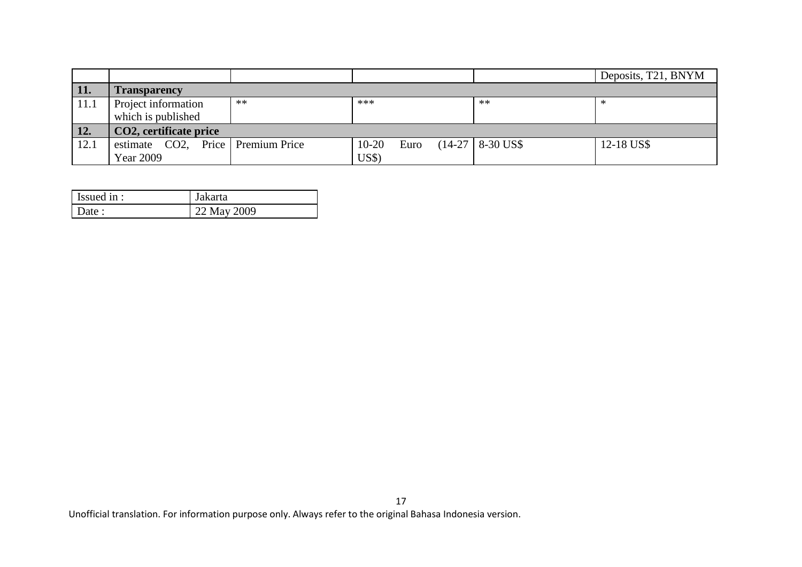|              |                                   |      |           |      |  |                     | Deposits, T21, BNYM |
|--------------|-----------------------------------|------|-----------|------|--|---------------------|---------------------|
| <b>\</b> 11. | <b>Transparency</b>               |      |           |      |  |                     |                     |
| 11.1         | Project information               | $**$ | ***       |      |  | $**$                |                     |
|              | which is published                |      |           |      |  |                     |                     |
| 12.          | CO2, certificate price            |      |           |      |  |                     |                     |
| 12.1         | estimate CO2, Price Premium Price |      | $10 - 20$ | Euro |  | $(14-27)$ 8-30 US\$ | 12-18 US\$          |
|              | <b>Year 2009</b>                  |      | US\$      |      |  |                     |                     |

| Issued in : | Jakarta     |
|-------------|-------------|
| Date:       | 22 May 2009 |